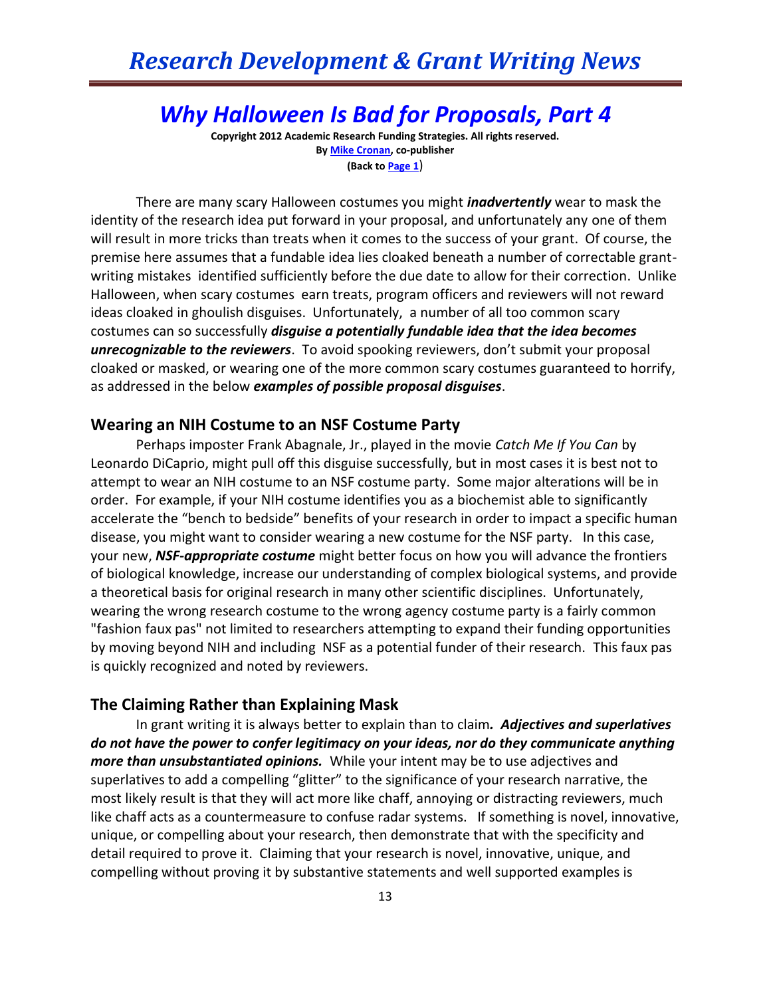## *Why Halloween Is Bad for Proposals, Part 4*

**Copyright 2012 Academic Research Funding Strategies. All rights reserved. B[y Mike Cronan,](mailto:mjcronan@gmail.com) co-publisher (Back to Page 1**)

There are many scary Halloween costumes you might *inadvertently* wear to mask the identity of the research idea put forward in your proposal, and unfortunately any one of them will result in more tricks than treats when it comes to the success of your grant. Of course, the premise here assumes that a fundable idea lies cloaked beneath a number of correctable grantwriting mistakes identified sufficiently before the due date to allow for their correction. Unlike Halloween, when scary costumes earn treats, program officers and reviewers will not reward ideas cloaked in ghoulish disguises. Unfortunately, a number of all too common scary costumes can so successfully *disguise a potentially fundable idea that the idea becomes unrecognizable to the reviewers*. To avoid spooking reviewers, don't submit your proposal cloaked or masked, or wearing one of the more common scary costumes guaranteed to horrify, as addressed in the below *examples of possible proposal disguises*.

### **Wearing an NIH Costume to an NSF Costume Party**

Perhaps imposter Frank Abagnale, Jr., played in the movie *Catch Me If You Can* by Leonardo DiCaprio, might pull off this disguise successfully, but in most cases it is best not to attempt to wear an NIH costume to an NSF costume party. Some major alterations will be in order. For example, if your NIH costume identifies you as a biochemist able to significantly accelerate the "bench to bedside" benefits of your research in order to impact a specific human disease, you might want to consider wearing a new costume for the NSF party. In this case, your new, *NSF-appropriate costume* might better focus on how you will advance the frontiers of biological knowledge, increase our understanding of complex biological systems, and provide a theoretical basis for original research in many other scientific disciplines. Unfortunately, wearing the wrong research costume to the wrong agency costume party is a fairly common "fashion faux pas" not limited to researchers attempting to expand their funding opportunities by moving beyond NIH and including NSF as a potential funder of their research. This faux pas is quickly recognized and noted by reviewers.

### **The Claiming Rather than Explaining Mask**

In grant writing it is always better to explain than to claim*. Adjectives and superlatives do not have the power to confer legitimacy on your ideas, nor do they communicate anything more than unsubstantiated opinions.* While your intent may be to use adjectives and superlatives to add a compelling "glitter" to the significance of your research narrative, the most likely result is that they will act more like chaff, annoying or distracting reviewers, much like chaff acts as a countermeasure to confuse radar systems. If something is novel, innovative, unique, or compelling about your research, then demonstrate that with the specificity and detail required to prove it. Claiming that your research is novel, innovative, unique, and compelling without proving it by substantive statements and well supported examples is